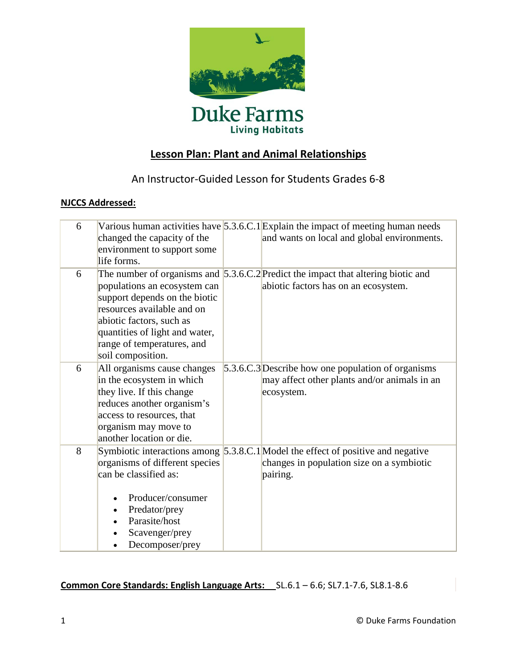

## **Lesson Plan: Plant and Animal Relationships**

## An Instructor-Guided Lesson for Students Grades 6-8

### **NJCCS Addressed:**

| 6 | changed the capacity of the<br>environment to support some<br>life forms.                                                                                                                                    | Various human activities have $5.3.6.C.1$ Explain the impact of meeting human needs<br>and wants on local and global environments.        |
|---|--------------------------------------------------------------------------------------------------------------------------------------------------------------------------------------------------------------|-------------------------------------------------------------------------------------------------------------------------------------------|
| 6 | populations an ecosystem can<br>support depends on the biotic<br>resources available and on<br>abiotic factors, such as<br>quantities of light and water,<br>range of temperatures, and<br>soil composition. | The number of organisms and $\vert$ 5.3.6.C.2 Predict the impact that altering biotic and<br>abiotic factors has on an ecosystem.         |
| 6 | All organisms cause changes<br>in the ecosystem in which<br>they live. If this change<br>reduces another organism's<br>access to resources, that<br>organism may move to<br>another location or die.         | 5.3.6.C.3 Describe how one population of organisms<br>may affect other plants and/or animals in an<br>ecosystem.                          |
| 8 | organisms of different species<br>can be classified as:<br>Producer/consumer<br>Predator/prey<br>Parasite/host<br>Scavenger/prey<br>Decomposer/prey                                                          | Symbiotic interactions among 5.3.8.C.1 Model the effect of positive and negative<br>changes in population size on a symbiotic<br>pairing. |

### **Common Core Standards: English Language Arts:** [SL.6.1](http://www.corestandards.org/the-standards/english-language-arts-standards/speaking-and-listening-6-12/grade-6/#sl-6-1) – 6.6; SL7.1-7.6, SL8.1-8.6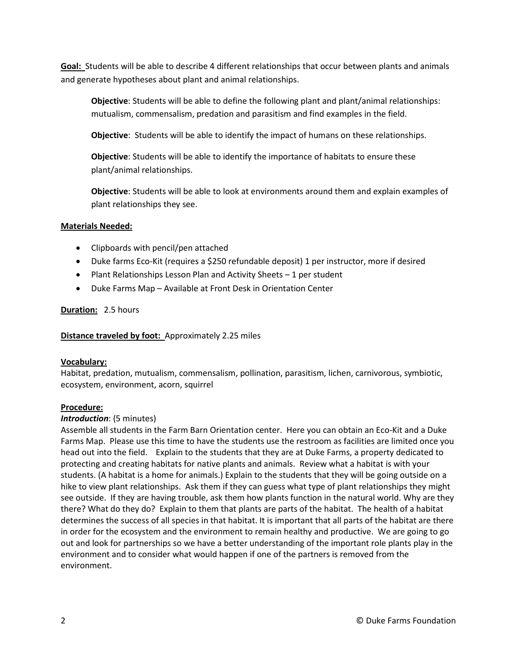Goal: Students will be able to describe 4 different relationships that occur between plants and animals and generate hypotheses about plant and animal relationships.

**Objective**: Students will be able to define the following plant and plant/animal relationships: mutualism, commensalism, predation and parasitism and find examples in the field.

**Objective**: Students will be able to identify the impact of humans on these relationships.

**Objective**: Students will be able to identify the importance of habitats to ensure these plant/animal relationships.

**Objective**: Students will be able to look at environments around them and explain examples of plant relationships they see.

#### **Materials Needed:**

- Clipboards with pencil/pen attached
- Duke farms Eco-Kit (requires a \$250 refundable deposit) 1 per instructor, more if desired
- Plant Relationships Lesson Plan and Activity Sheets 1 per student
- Duke Farms Map Available at Front Desk in Orientation Center

#### **Duration:** 2.5 hours

#### **Distance traveled by foot:** Approximately 2.25 miles

#### **Vocabulary:**

Habitat, predation, mutualism, commensalism, pollination, parasitism, lichen, carnivorous, symbiotic, ecosystem, environment, acorn, squirrel

#### **Procedure:**

#### *Introduction*: (5 minutes)

Assemble all students in the Farm Barn Orientation center. Here you can obtain an Eco-Kit and a Duke Farms Map. Please use this time to have the students use the restroom as facilities are limited once you head out into the field. Explain to the students that they are at Duke Farms, a property dedicated to protecting and creating habitats for native plants and animals. Review what a habitat is with your students. (A habitat is a home for animals.) Explain to the students that they will be going outside on a hike to view plant relationships. Ask them if they can guess what type of plant relationships they might see outside. If they are having trouble, ask them how plants function in the natural world. Why are they there? What do they do? Explain to them that plants are parts of the habitat. The health of a habitat determines the success of all species in that habitat. It is important that all parts of the habitat are there in order for the ecosystem and the environment to remain healthy and productive. We are going to go out and look for partnerships so we have a better understanding of the important role plants play in the environment and to consider what would happen if one of the partners is removed from the environment.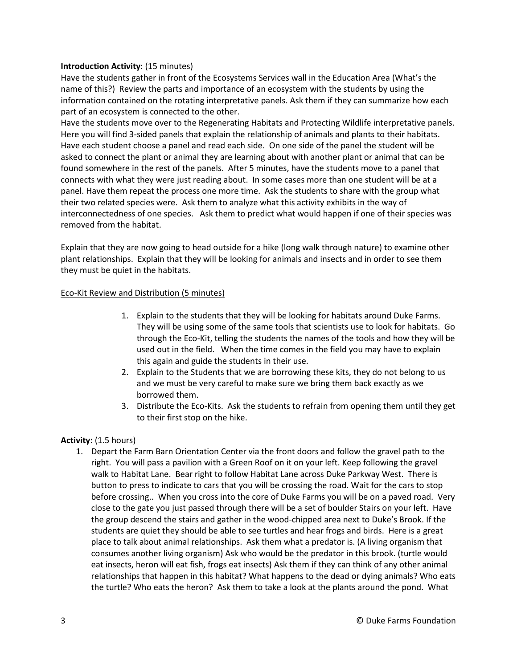#### **Introduction Activity**: (15 minutes)

Have the students gather in front of the Ecosystems Services wall in the Education Area (What's the name of this?) Review the parts and importance of an ecosystem with the students by using the information contained on the rotating interpretative panels. Ask them if they can summarize how each part of an ecosystem is connected to the other.

Have the students move over to the Regenerating Habitats and Protecting Wildlife interpretative panels. Here you will find 3-sided panels that explain the relationship of animals and plants to their habitats. Have each student choose a panel and read each side. On one side of the panel the student will be asked to connect the plant or animal they are learning about with another plant or animal that can be found somewhere in the rest of the panels. After 5 minutes, have the students move to a panel that connects with what they were just reading about. In some cases more than one student will be at a panel. Have them repeat the process one more time. Ask the students to share with the group what their two related species were. Ask them to analyze what this activity exhibits in the way of interconnectedness of one species. Ask them to predict what would happen if one of their species was removed from the habitat.

Explain that they are now going to head outside for a hike (long walk through nature) to examine other plant relationships. Explain that they will be looking for animals and insects and in order to see them they must be quiet in the habitats.

#### Eco-Kit Review and Distribution (5 minutes)

- 1. Explain to the students that they will be looking for habitats around Duke Farms. They will be using some of the same tools that scientists use to look for habitats. Go through the Eco-Kit, telling the students the names of the tools and how they will be used out in the field. When the time comes in the field you may have to explain this again and guide the students in their use.
- 2. Explain to the Students that we are borrowing these kits, they do not belong to us and we must be very careful to make sure we bring them back exactly as we borrowed them.
- 3. Distribute the Eco-Kits. Ask the students to refrain from opening them until they get to their first stop on the hike.

#### **Activity:** (1.5 hours)

1. Depart the Farm Barn Orientation Center via the front doors and follow the gravel path to the right. You will pass a pavilion with a Green Roof on it on your left. Keep following the gravel walk to Habitat Lane. Bear right to follow Habitat Lane across Duke Parkway West. There is button to press to indicate to cars that you will be crossing the road. Wait for the cars to stop before crossing.. When you cross into the core of Duke Farms you will be on a paved road. Very close to the gate you just passed through there will be a set of boulder Stairs on your left. Have the group descend the stairs and gather in the wood-chipped area next to Duke's Brook. If the students are quiet they should be able to see turtles and hear frogs and birds. Here is a great place to talk about animal relationships. Ask them what a predator is. (A living organism that consumes another living organism) Ask who would be the predator in this brook. (turtle would eat insects, heron will eat fish, frogs eat insects) Ask them if they can think of any other animal relationships that happen in this habitat? What happens to the dead or dying animals? Who eats the turtle? Who eats the heron? Ask them to take a look at the plants around the pond. What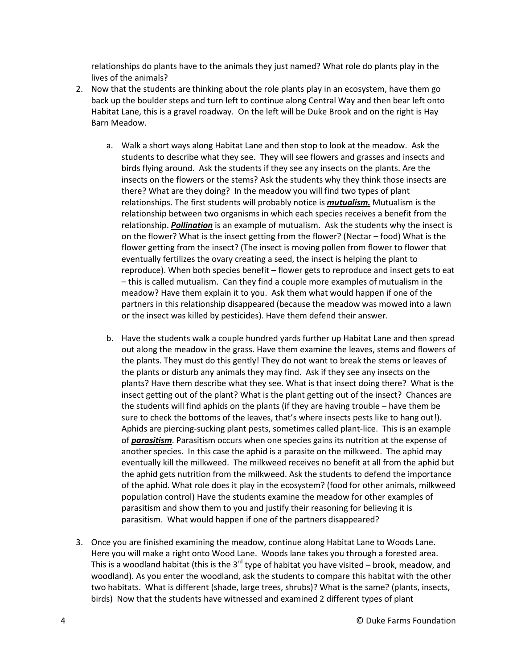relationships do plants have to the animals they just named? What role do plants play in the lives of the animals?

- 2. Now that the students are thinking about the role plants play in an ecosystem, have them go back up the boulder steps and turn left to continue along Central Way and then bear left onto Habitat Lane, this is a gravel roadway. On the left will be Duke Brook and on the right is Hay Barn Meadow.
	- a. Walk a short ways along Habitat Lane and then stop to look at the meadow. Ask the students to describe what they see. They will see flowers and grasses and insects and birds flying around. Ask the students if they see any insects on the plants. Are the insects on the flowers or the stems? Ask the students why they think those insects are there? What are they doing? In the meadow you will find two types of plant relationships. The first students will probably notice is *mutualism.* Mutualism is the relationship between two organisms in which each species receives a benefit from the relationship. *Pollination* is an example of mutualism. Ask the students why the insect is on the flower? What is the insect getting from the flower? (Nectar – food) What is the flower getting from the insect? (The insect is moving pollen from flower to flower that eventually fertilizes the ovary creating a seed, the insect is helping the plant to reproduce). When both species benefit – flower gets to reproduce and insect gets to eat – this is called mutualism. Can they find a couple more examples of mutualism in the meadow? Have them explain it to you. Ask them what would happen if one of the partners in this relationship disappeared (because the meadow was mowed into a lawn or the insect was killed by pesticides). Have them defend their answer.
	- b. Have the students walk a couple hundred yards further up Habitat Lane and then spread out along the meadow in the grass. Have them examine the leaves, stems and flowers of the plants. They must do this gently! They do not want to break the stems or leaves of the plants or disturb any animals they may find. Ask if they see any insects on the plants? Have them describe what they see. What is that insect doing there? What is the insect getting out of the plant? What is the plant getting out of the insect? Chances are the students will find aphids on the plants (if they are having trouble – have them be sure to check the bottoms of the leaves, that's where insects pests like to hang out!). Aphids are piercing-sucking plant pests, sometimes called plant-lice. This is an example of *parasitism*. Parasitism occurs when one species gains its nutrition at the expense of another species. In this case the aphid is a parasite on the milkweed. The aphid may eventually kill the milkweed. The milkweed receives no benefit at all from the aphid but the aphid gets nutrition from the milkweed. Ask the students to defend the importance of the aphid. What role does it play in the ecosystem? (food for other animals, milkweed population control) Have the students examine the meadow for other examples of parasitism and show them to you and justify their reasoning for believing it is parasitism. What would happen if one of the partners disappeared?
- 3. Once you are finished examining the meadow, continue along Habitat Lane to Woods Lane. Here you will make a right onto Wood Lane. Woods lane takes you through a forested area. This is a woodland habitat (this is the 3<sup>rd</sup> type of habitat you have visited – brook, meadow, and woodland). As you enter the woodland, ask the students to compare this habitat with the other two habitats. What is different (shade, large trees, shrubs)? What is the same? (plants, insects, birds) Now that the students have witnessed and examined 2 different types of plant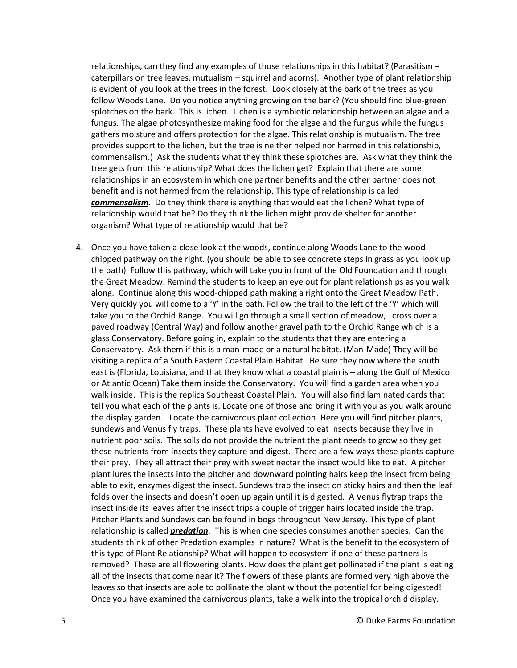relationships, can they find any examples of those relationships in this habitat? (Parasitism – caterpillars on tree leaves, mutualism – squirrel and acorns). Another type of plant relationship is evident of you look at the trees in the forest. Look closely at the bark of the trees as you follow Woods Lane. Do you notice anything growing on the bark? (You should find blue-green splotches on the bark. This is lichen. Lichen is a symbiotic relationship between an algae and a fungus. The algae photosynthesize making food for the algae and the fungus while the fungus gathers moisture and offers protection for the algae. This relationship is mutualism. The tree provides support to the lichen, but the tree is neither helped nor harmed in this relationship, commensalism.) Ask the students what they think these splotches are. Ask what they think the tree gets from this relationship? What does the lichen get? Explain that there are some relationships in an ecosystem in which one partner benefits and the other partner does not benefit and is not harmed from the relationship. This type of relationship is called *commensalism*. Do they think there is anything that would eat the lichen? What type of relationship would that be? Do they think the lichen might provide shelter for another organism? What type of relationship would that be?

4. Once you have taken a close look at the woods, continue along Woods Lane to the wood chipped pathway on the right. (you should be able to see concrete steps in grass as you look up the path) Follow this pathway, which will take you in front of the Old Foundation and through the Great Meadow. Remind the students to keep an eye out for plant relationships as you walk along. Continue along this wood-chipped path making a right onto the Great Meadow Path. Very quickly you will come to a 'Y' in the path. Follow the trail to the left of the 'Y' which will take you to the Orchid Range. You will go through a small section of meadow, cross over a paved roadway (Central Way) and follow another gravel path to the Orchid Range which is a glass Conservatory. Before going in, explain to the students that they are entering a Conservatory. Ask them if this is a man-made or a natural habitat. (Man-Made) They will be visiting a replica of a South Eastern Coastal Plain Habitat. Be sure they now where the south east is (Florida, Louisiana, and that they know what a coastal plain is – along the Gulf of Mexico or Atlantic Ocean) Take them inside the Conservatory. You will find a garden area when you walk inside. This is the replica Southeast Coastal Plain. You will also find laminated cards that tell you what each of the plants is. Locate one of those and bring it with you as you walk around the display garden. Locate the carnivorous plant collection. Here you will find pitcher plants, sundews and Venus fly traps. These plants have evolved to eat insects because they live in nutrient poor soils. The soils do not provide the nutrient the plant needs to grow so they get these nutrients from insects they capture and digest. There are a few ways these plants capture their prey. They all attract their prey with sweet nectar the insect would like to eat. A pitcher plant lures the insects into the pitcher and downward pointing hairs keep the insect from being able to exit, enzymes digest the insect. Sundews trap the insect on sticky hairs and then the leaf folds over the insects and doesn't open up again until it is digested. A Venus flytrap traps the insect inside its leaves after the insect trips a couple of trigger hairs located inside the trap. Pitcher Plants and Sundews can be found in bogs throughout New Jersey. This type of plant relationship is called *predation*. This is when one species consumes another species. Can the students think of other Predation examples in nature? What is the benefit to the ecosystem of this type of Plant Relationship? What will happen to ecosystem if one of these partners is removed? These are all flowering plants. How does the plant get pollinated if the plant is eating all of the insects that come near it? The flowers of these plants are formed very high above the leaves so that insects are able to pollinate the plant without the potential for being digested! Once you have examined the carnivorous plants, take a walk into the tropical orchid display.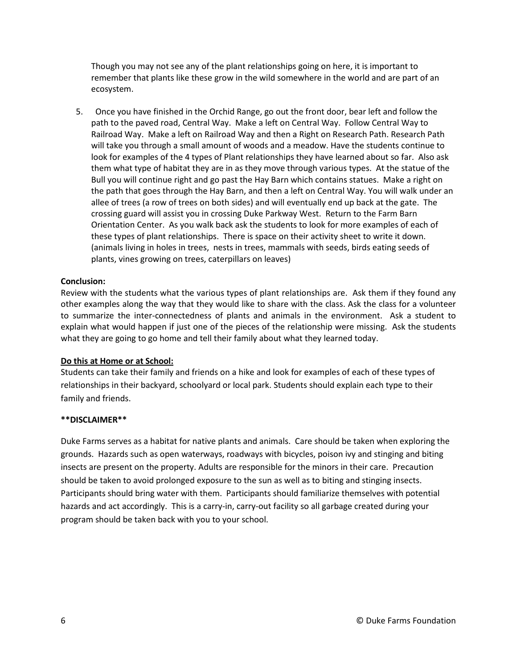Though you may not see any of the plant relationships going on here, it is important to remember that plants like these grow in the wild somewhere in the world and are part of an ecosystem.

5. Once you have finished in the Orchid Range, go out the front door, bear left and follow the path to the paved road, Central Way. Make a left on Central Way. Follow Central Way to Railroad Way. Make a left on Railroad Way and then a Right on Research Path. Research Path will take you through a small amount of woods and a meadow. Have the students continue to look for examples of the 4 types of Plant relationships they have learned about so far. Also ask them what type of habitat they are in as they move through various types. At the statue of the Bull you will continue right and go past the Hay Barn which contains statues. Make a right on the path that goes through the Hay Barn, and then a left on Central Way. You will walk under an allee of trees (a row of trees on both sides) and will eventually end up back at the gate. The crossing guard will assist you in crossing Duke Parkway West. Return to the Farm Barn Orientation Center. As you walk back ask the students to look for more examples of each of these types of plant relationships. There is space on their activity sheet to write it down. (animals living in holes in trees, nests in trees, mammals with seeds, birds eating seeds of plants, vines growing on trees, caterpillars on leaves)

#### **Conclusion:**

Review with the students what the various types of plant relationships are. Ask them if they found any other examples along the way that they would like to share with the class. Ask the class for a volunteer to summarize the inter-connectedness of plants and animals in the environment. Ask a student to explain what would happen if just one of the pieces of the relationship were missing. Ask the students what they are going to go home and tell their family about what they learned today.

#### **Do this at Home or at School:**

Students can take their family and friends on a hike and look for examples of each of these types of relationships in their backyard, schoolyard or local park. Students should explain each type to their family and friends.

#### **\*\*DISCLAIMER\*\***

Duke Farms serves as a habitat for native plants and animals. Care should be taken when exploring the grounds. Hazards such as open waterways, roadways with bicycles, poison ivy and stinging and biting insects are present on the property. Adults are responsible for the minors in their care. Precaution should be taken to avoid prolonged exposure to the sun as well as to biting and stinging insects. Participants should bring water with them. Participants should familiarize themselves with potential hazards and act accordingly. This is a carry-in, carry-out facility so all garbage created during your program should be taken back with you to your school.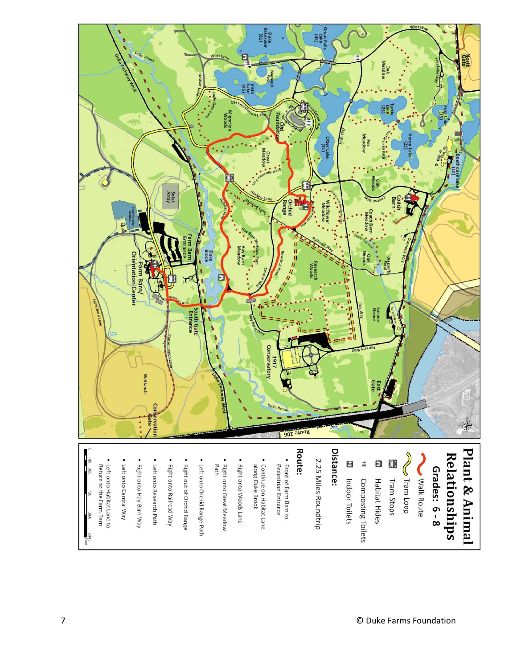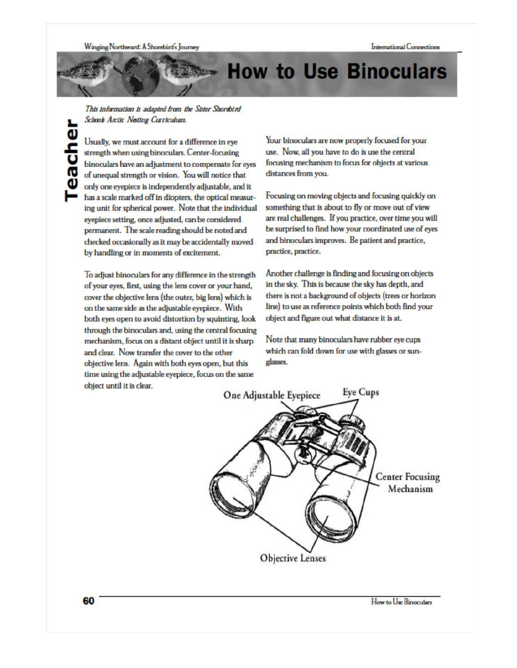## **How to Use Binoculars**

This information is adapted from the Sister Shorebird Schools Arctic Nesting Curriculum.

Usually, we must account for a difference in eye strength when using binoculars. Center-focusing binoculars have an adjustment to compensate for eyes of unequal strength or vision. You will notice that only one eyepiece is independently adjustable, and it has a scale marked off in diopters, the optical measuring unit for spherical power. Note that the individual eyepiece setting, once adjusted, can be considered permanent. The scale reading should be noted and checked occasionally as it may be accidentally moved by handling or in moments of excitement.

To adjust binoculars for any difference in the strength of your eyes, first, using the lens cover or your hand, cover the objective lens (the outer, big lens) which is on the same side as the adjustable evepiece. With both eyes open to avoid distortion by squinting, look through the binoculars and, using the central focusing mechanism, focus on a distant object until it is sharp and clear. Now transfer the cover to the other objective lens. Again with both eyes open, but this time using the adjustable eyepiece, focus on the same object until it is clear.

Your binoculars are now properly focused for your use. Now, all you have to do is use the central focusing mechanism to focus for objects at various distances from you.

Focusing on moving objects and focusing quickly on something that is about to fly or move out of view are real challenges. If you practice, over time you will be surprised to find how your coordinated use of eyes and binoculars improves. Be patient and practice, practice, practice.

Another challenge is finding and focusing on objects in the sky. This is because the sky has depth, and there is not a background of objects (trees or horizon line) to use as reference points which both find your object and figure out what distance it is at.

Note that many binoculars have rubber eye cups which can fold down for use with glasses or sunglasses.



How to Use Binoculars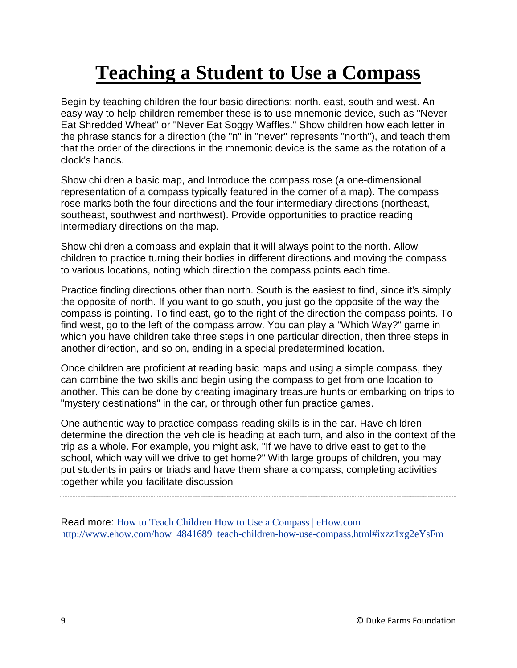# **Teaching a Student to Use a Compass**

Begin by teaching children the four basic directions: north, east, south and west. An easy way to help children remember these is to use mnemonic device, such as "Never Eat Shredded Wheat" or "Never Eat Soggy Waffles." Show children how each letter in the phrase stands for a direction (the "n" in "never" represents "north"), and teach them that the order of the directions in the mnemonic device is the same as the rotation of a clock's hands.

Show children a basic map, and Introduce the compass rose (a one-dimensional representation of a compass typically featured in the corner of a map). The compass rose marks both the four directions and the four intermediary directions (northeast, southeast, southwest and northwest). Provide opportunities to practice reading intermediary directions on the map.

Show children a compass and explain that it will always point to the north. Allow children to practice turning their bodies in different directions and moving the compass to various locations, noting which direction the compass points each time.

Practice finding directions other than north. South is the easiest to find, since it's simply the opposite of north. If you want to go south, you just go the opposite of the way the compass is pointing. To find east, go to the right of the direction the compass points. To find west, go to the left of the compass arrow. You can play a "Which Way?" game in which you have children take three steps in one particular direction, then three steps in another direction, and so on, ending in a special predetermined location.

Once children are proficient at reading basic maps and using a simple compass, they can combine the two skills and begin using the compass to get from one location to another. This can be done by creating imaginary treasure hunts or embarking on trips to "mystery destinations" in the car, or through other fun practice games.

One authentic way to practice compass-reading skills is in the car. Have children determine the direction the vehicle is heading at each turn, and also in the context of the trip as a whole. For example, you might ask, "If we have to drive east to get to the school, which way will we drive to get home?" With large groups of children, you may put students in pairs or triads and have them share a compass, completing activities together while you facilitate discussion

Read more: [How to Teach Children How to Use a Compass | eHow.com](http://www.ehow.com/how_4841689_teach-children-how-use-compass.html#ixzz1xg2eYsFm) [http://www.ehow.com/how\\_4841689\\_teach-children-how-use-compass.html#ixzz1xg2eYsFm](http://www.ehow.com/how_4841689_teach-children-how-use-compass.html#ixzz1xg2eYsFm)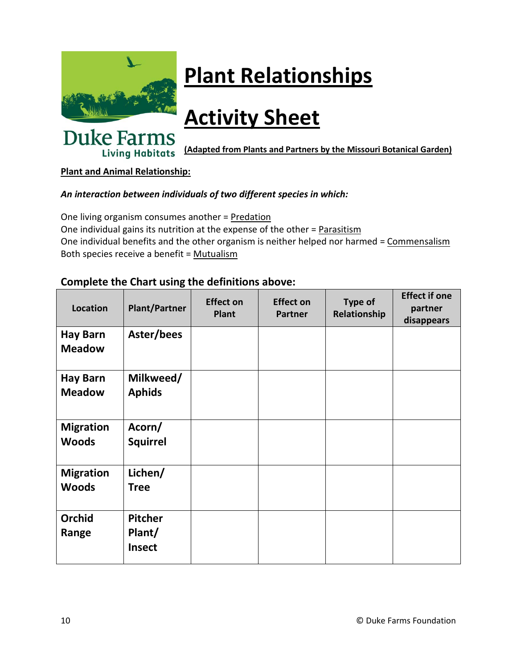

# **Plant Relationships**

# **Activity Sheet**

**Duke Farms (Adapted from Plants and Partners by the Missouri Botanical Garden) Living Habitats** 

## **Plant and Animal Relationship:**

## *An interaction between individuals of two different species in which:*

One living organism consumes another = Predation One individual gains its nutrition at the expense of the other = Parasitism One individual benefits and the other organism is neither helped nor harmed = Commensalism Both species receive a benefit = Mutualism

## **Complete the Chart using the definitions above:**

| Location                         | <b>Plant/Partner</b>                      | <b>Effect on</b><br><b>Plant</b> | <b>Effect on</b><br><b>Partner</b> | <b>Type of</b><br>Relationship | <b>Effect if one</b><br>partner<br>disappears |
|----------------------------------|-------------------------------------------|----------------------------------|------------------------------------|--------------------------------|-----------------------------------------------|
| <b>Hay Barn</b><br><b>Meadow</b> | Aster/bees                                |                                  |                                    |                                |                                               |
| <b>Hay Barn</b><br><b>Meadow</b> | Milkweed/<br><b>Aphids</b>                |                                  |                                    |                                |                                               |
| <b>Migration</b><br><b>Woods</b> | Acorn/<br><b>Squirrel</b>                 |                                  |                                    |                                |                                               |
| <b>Migration</b><br><b>Woods</b> | Lichen/<br><b>Tree</b>                    |                                  |                                    |                                |                                               |
| <b>Orchid</b><br>Range           | <b>Pitcher</b><br>Plant/<br><b>Insect</b> |                                  |                                    |                                |                                               |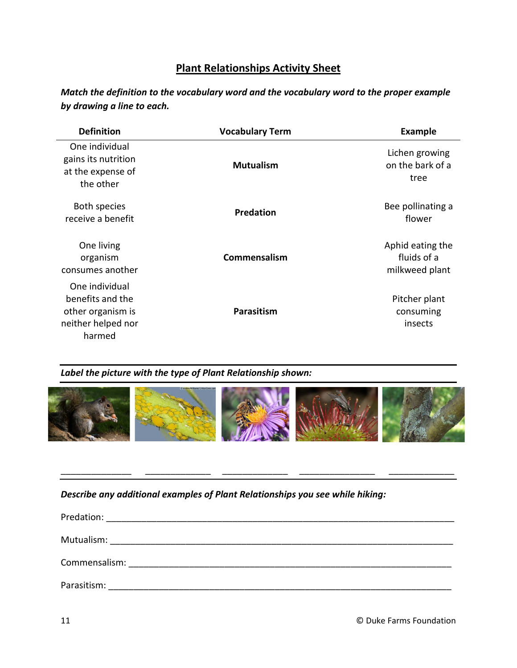## **Plant Relationships Activity Sheet**

*Match the definition to the vocabulary word and the vocabulary word to the proper example by drawing a line to each.*

| <b>Definition</b>                                                                       | <b>Vocabulary Term</b> | <b>Example</b>                                    |
|-----------------------------------------------------------------------------------------|------------------------|---------------------------------------------------|
| One individual<br>gains its nutrition<br>at the expense of<br>the other                 | <b>Mutualism</b>       | Lichen growing<br>on the bark of a<br>tree        |
| Both species<br>receive a benefit                                                       | <b>Predation</b>       | Bee pollinating a<br>flower                       |
| One living<br>organism<br>consumes another                                              | Commensalism           | Aphid eating the<br>fluids of a<br>milkweed plant |
| One individual<br>benefits and the<br>other organism is<br>neither helped nor<br>harmed | Parasitism             | Pitcher plant<br>consuming<br>insects             |

### *Label the picture with the type of Plant Relationship shown:*



\_\_\_\_\_\_\_\_\_\_\_\_\_\_ \_\_\_\_\_\_\_\_\_\_\_\_\_ \_\_\_\_\_\_\_\_\_\_\_\_\_ \_\_\_\_\_\_\_\_\_\_\_\_\_\_\_ \_\_\_\_\_\_\_\_\_\_\_\_\_

### *Describe any additional examples of Plant Relationships you see while hiking:*

| Predation:<br><u> 1980 - Jan Barbara, martin da shekara 1980 - Andrea Alban a Shekara a T</u>                                                                                                                                       |
|-------------------------------------------------------------------------------------------------------------------------------------------------------------------------------------------------------------------------------------|
|                                                                                                                                                                                                                                     |
|                                                                                                                                                                                                                                     |
|                                                                                                                                                                                                                                     |
| <b>Commensalism:</b> The commensalism of the community of the community of the community of the community of the community of the community of the community of the community of the community of the community of the community of |
|                                                                                                                                                                                                                                     |
| Parasitism:                                                                                                                                                                                                                         |
|                                                                                                                                                                                                                                     |